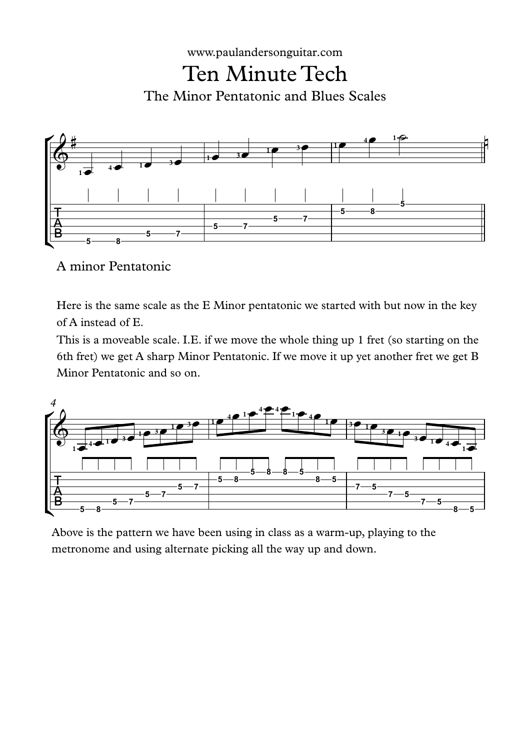



A minor Pentatonic

Here is the same scale as the E Minor pentatonic we started with but now in the key of A instead of E.

This is a moveable scale. I.E. if we move the whole thing up 1 fret (so starting on the 6th fret) we get A sharp Minor Pentatonic. If we move it up yet another fret we get B Minor Pentatonic and so on.



Above is the pattern we have been using in class as a warm-up, playing to the metronome and using alternate picking all the way up and down.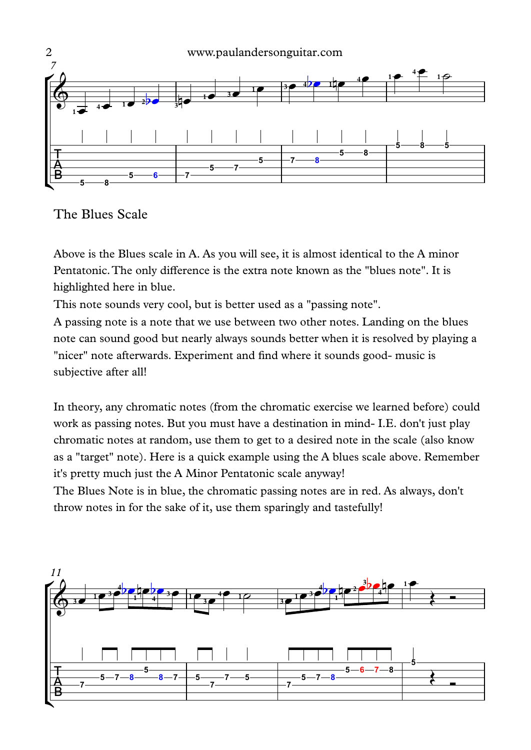

## The Blues Scale

Above is the Blues scale in A. As you will see, it is almost identical to the A minor Pentatonic.The only difference is the extra note known as the "blues note". It is highlighted here in blue.

This note sounds very cool, but is better used as a "passing note".

A passing note is a note that we use between two other notes. Landing on the blues note can sound good but nearly always sounds better when it is resolved by playing a "nicer" note afterwards. Experiment and find where it sounds good- music is subjective after all!

In theory, any chromatic notes (from the chromatic exercise we learned before) could work as passing notes. But you must have a destination in mind- I.E. don't just play chromatic notes at random, use them to get to a desired note in the scale (also know as a "target" note). Here is a quick example using the A blues scale above. Remember it's pretty much just the A Minor Pentatonic scale anyway!

The Blues Note is in blue, the chromatic passing notes are in red. As always, don't throw notes in for the sake of it, use them sparingly and tastefully!